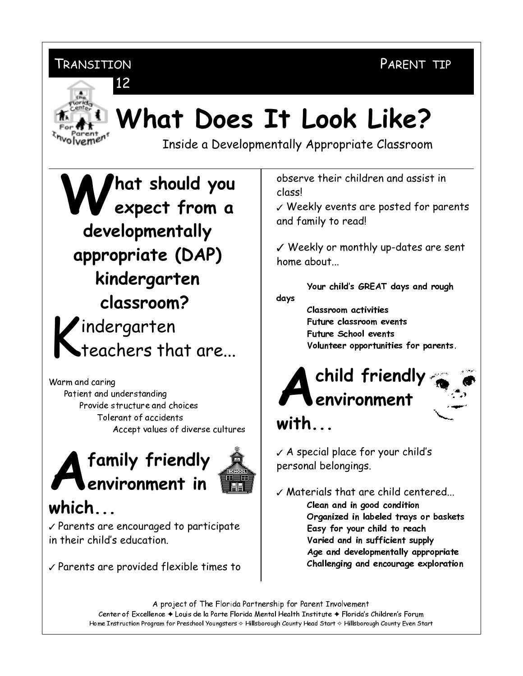PARENT TIP



# What Does It Look Like?

Inside a Developmentally Appropriate Classroom

**That should you**  $\sqrt{2}$  expect from a developmentally appropriate (DAP) kindergarten classroom?  $\blacktriangleright$ indergarten teachers that are...

Warm and caring Patient and understanding Provide structure and choices Tolerant of accidents Accept values of diverse cultures

# family friendly environment in



### $which...$

Parents are encouraged to participate in their child's education.

 $\sqrt{\ }$  Parents are provided flexible times to

observe their children and assist in classl

 $\checkmark$  Weekly events are posted for parents and family to read!

V Weekly or monthly up-dates are sent home about

Your child's GREAT days and rough days

> Classroom activities Future classroom events Future School events Volunteer opportunities for parents.

## child friendly environment with

 $\sqrt{A}$  special place for your child's personal belongings.

 $\checkmark$  Materials that are child centered... Clean and in good condition Organized in labeled trays or baskets Easy for your child to reach Varied and in sufficient supply Age and developmentally appropriate Challenging and encourage exploration

A project of The Florida Partnership for Parent Involvement Center of Excellence + Louis de la Parte Florida Mental Health Institute + Florida's Children's Forum Home Instruction Program for Preschool Youngsters & Hillsborough County Head Start & Hillsborough County Even Start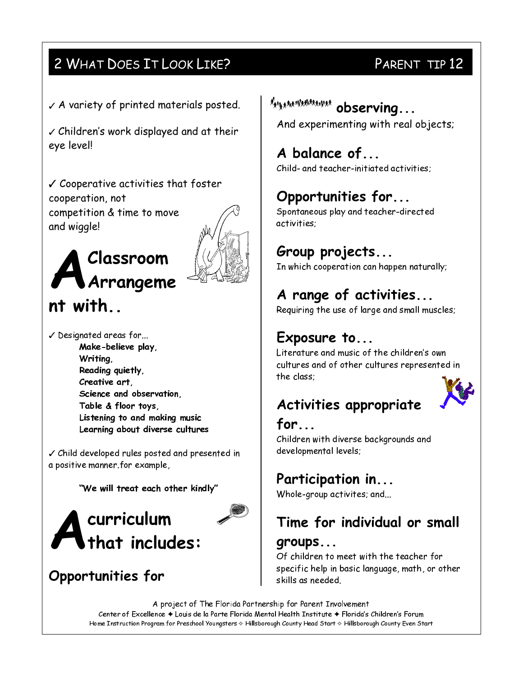#### 2 WHAT DOES IT LOOK LIKE?

 $\sqrt{A}$  variety of printed materials posted.

 $\checkmark$  Children's work displayed and at their eye level!

 $\checkmark$  Cooperative activities that foster cooperation, not competition & time to move and wiggle!





 $\checkmark$  Designated areas for... Make-believe play, Writing, Reading quietly, Creative art, Science and observation, Table & floor toys, Listening to and making music Learning about diverse cultures

√ Child developed rules posted and presented in a positive manner.for example,

"We will treat each other kindly"



#### Opportunities for

### PARENT TIP 12

\*\*\*\*\*\*\*\*\*\*\*\*\*\*\*\*\*\* observing... And experimenting with real objects;

#### A balance of...

Child- and teacher-initiated activities:

#### Opportunities for...

Spontaneous play and teacher-directed activities:

#### Group projects...

In which cooperation can happen naturally;

#### A range of activities...

Requiring the use of large and small muscles;

#### Exposure to...

Literature and music of the children's own cultures and of other cultures represented in the class:

#### Activities appropriate



for...

Children with diverse backgrounds and developmental levels;

#### Participation in...

Whole-group activites; and...

### Time for individual or small

#### groups...

Of children to meet with the teacher for specific help in basic language, math, or other skills as needed.

A project of The Florida Partnership for Parent Involvement Center of Excellence + Louis de la Parte Florida Mental Health Institute + Florida's Children's Forum Home Instruction Program for Preschool Youngsters & Hillsborough County Head Start & Hillsborough County Even Start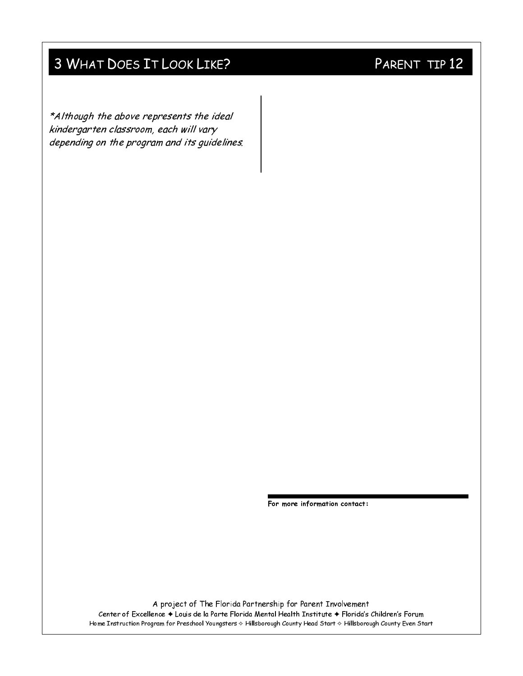#### 3 WHAT DOES IT LOOK LIKE?

\*Although the above represents the ideal kindergarten classroom, each will vary depending on the program and its guidelines.

For more information contact:

A project of The Florida Partnership for Parent Involvement Center of Excellence + Louis de la Parte Florida Mental Health Institute + Florida's Children's Forum Home Instruction Program for Preschool Youngsters & Hillsborough County Head Start & Hillsborough County Even Start

#### PARENT TIP 12